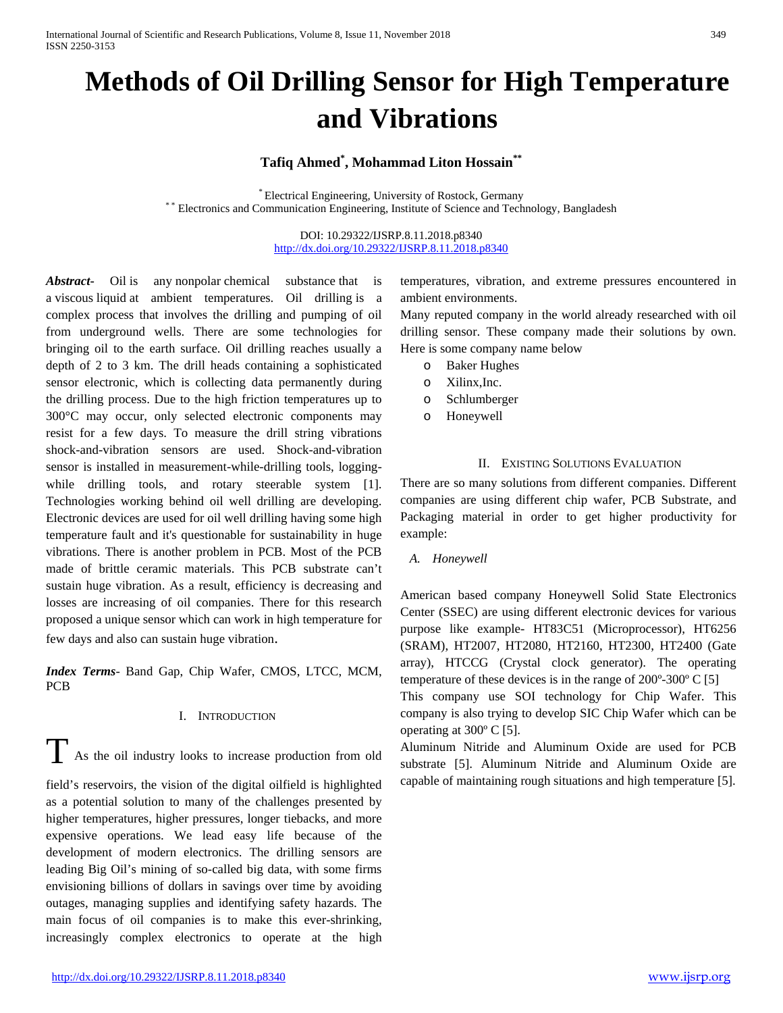# **Methods of Oil Drilling Sensor for High Temperature and Vibrations**

# **Tafiq Ahmed\* , Mohammad Liton Hossain\*\***

\* Electrical Engineering, University of Rostock, Germany \* \* Electronics and Communication Engineering, Institute of Science and Technology, Bangladesh

## DOI: 10.29322/IJSRP.8.11.2018.p8340 <http://dx.doi.org/10.29322/IJSRP.8.11.2018.p8340>

*Abstract***-** Oil is any [nonpolar](https://en.wikipedia.org/wiki/Polarity_(chemistry)) [chemical substance](https://en.wikipedia.org/wiki/Chemical_substance) that is a [viscous](https://en.wikipedia.org/wiki/Viscosity) [liquid](https://en.wikipedia.org/wiki/Liquid) at ambient temperatures. Oil drilling is a complex process that involves the drilling and pumping of oil from underground wells. There are some technologies for bringing oil to the earth surface. Oil drilling reaches usually a depth of 2 to 3 km. The drill heads containing a sophisticated sensor electronic, which is collecting data permanently during the drilling process. Due to the high friction temperatures up to 300°C may occur, only selected electronic components may resist for a few days. To measure the drill string vibrations shock-and-vibration sensors are used. Shock-and-vibration sensor is installed in measurement-while-drilling tools, loggingwhile drilling tools, and rotary steerable system [1]. Technologies working behind oil well drilling are developing. Electronic devices are used for oil well drilling having some high temperature fault and it's questionable for sustainability in huge vibrations. There is another problem in PCB. Most of the PCB made of brittle ceramic materials. This PCB substrate can't sustain huge vibration. As a result, efficiency is decreasing and losses are increasing of oil companies. There for this research proposed a unique sensor which can work in high temperature for few days and also can sustain huge vibration.

*Index Terms*- Band Gap, Chip Wafer, CMOS, LTCC, MCM, PCB

# I. INTRODUCTION

T As the oil industry looks to increase production from old field's reservoirs, the vision of the digital oilfield is highlighted as a potential solution to many of the challenges presented by higher temperatures, higher pressures, longer tiebacks, and more expensive operations. We lead easy life because of the development of modern electronics. The drilling sensors are leading Big Oil's mining of so-called big data, with some firms envisioning billions of dollars in savings over time by avoiding outages, managing supplies and identifying safety hazards. The main focus of oil companies is to make this ever-shrinking, increasingly complex electronics to operate at the high

temperatures, vibration, and extreme pressures encountered in ambient environments.

Many reputed company in the world already researched with oil drilling sensor. These company made their solutions by own. Here is some company name below

- o Baker Hughes
- o Xilinx,Inc.
- o Schlumberger
- o Honeywell

# II. EXISTING SOLUTIONS EVALUATION

There are so many solutions from different companies. Different companies are using different chip wafer, PCB Substrate, and Packaging material in order to get higher productivity for example:

### *A. Honeywell*

American based company Honeywell Solid State Electronics Center (SSEC) are using different electronic devices for various purpose like example- HT83C51 (Microprocessor), HT6256 (SRAM), HT2007, HT2080, HT2160, HT2300, HT2400 (Gate array), HTCCG (Crystal clock generator). The operating temperature of these devices is in the range of 200º-300º C [5] This company use SOI technology for Chip Wafer. This company is also trying to develop SIC Chip Wafer which can be operating at 300º C [5].

Aluminum Nitride and Aluminum Oxide are used for PCB substrate [5]. Aluminum Nitride and Aluminum Oxide are capable of maintaining rough situations and high temperature [5].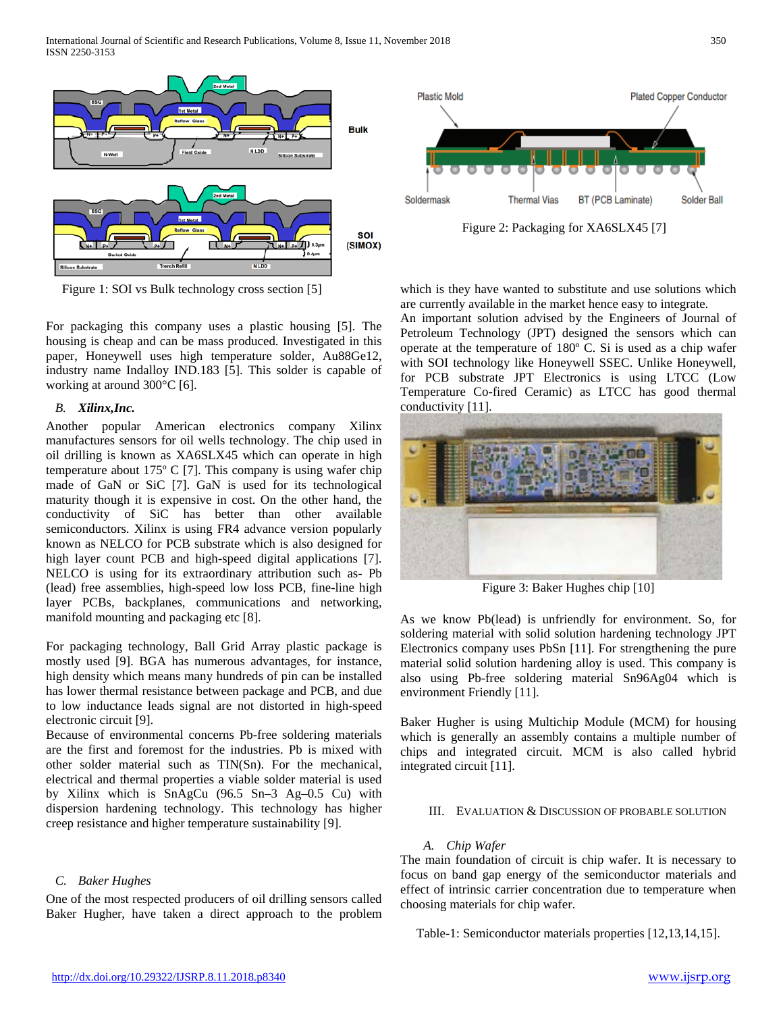International Journal of Scientific and Research Publications, Volume 8, Issue 11, November 2018 350 ISSN 2250-3153



Figure 1: SOI vs Bulk technology cross section [5]

For packaging this company uses a plastic housing [5]. The housing is cheap and can be mass produced. Investigated in this paper, Honeywell uses high temperature solder, Au88Ge12, industry name Indalloy IND.183 [5]. This solder is capable of working at around 300°C [6].

## *B. Xilinx,Inc.*

Another popular American electronics company Xilinx manufactures sensors for oil wells technology. The chip used in oil drilling is known as XA6SLX45 which can operate in high temperature about 175º C [7]. This company is using wafer chip made of GaN or SiC [7]. GaN is used for its technological maturity though it is expensive in cost. On the other hand, the conductivity of SiC has better than other available semiconductors. Xilinx is using FR4 advance version popularly known as NELCO for PCB substrate which is also designed for high layer count PCB and high-speed digital applications [7]. NELCO is using for its extraordinary attribution such as- Pb (lead) free assemblies, high-speed low loss PCB, fine-line high layer PCBs, backplanes, communications and networking, manifold mounting and packaging etc [8].

For packaging technology, Ball Grid Array plastic package is mostly used [9]. BGA has numerous advantages, for instance, high density which means many hundreds of pin can be installed has lower thermal resistance between package and PCB, and due to low inductance leads signal are not distorted in high-speed electronic circuit [9].

Because of environmental concerns Pb-free soldering materials are the first and foremost for the industries. Pb is mixed with other solder material such as TIN(Sn). For the mechanical, electrical and thermal properties a viable solder material is used by Xilinx which is SnAgCu (96.5 Sn–3 Ag–0.5 Cu) with dispersion hardening technology. This technology has higher creep resistance and higher temperature sustainability [9].

## *C. Baker Hughes*

One of the most respected producers of oil drilling sensors called Baker Hugher, have taken a direct approach to the problem



Figure 2: Packaging for XA6SLX45 [7]

which is they have wanted to substitute and use solutions which are currently available in the market hence easy to integrate.

An important solution advised by the Engineers of Journal of Petroleum Technology (JPT) designed the sensors which can operate at the temperature of 180º C. Si is used as a chip wafer with SOI technology like Honeywell SSEC. Unlike Honeywell, for PCB substrate JPT Electronics is using LTCC (Low Temperature Co-fired Ceramic) as LTCC has good thermal conductivity [11].



Figure 3: Baker Hughes chip [10]

As we know Pb(lead) is unfriendly for environment. So, for soldering material with solid solution hardening technology JPT Electronics company uses PbSn [11]. For strengthening the pure material solid solution hardening alloy is used. This company is also using Pb-free soldering material Sn96Ag04 which is environment Friendly [11].

Baker Hugher is using Multichip Module (MCM) for housing which is generally an assembly contains a multiple number of chips and integrated circuit. MCM is also called hybrid integrated circuit [11].

#### III. EVALUATION & DISCUSSION OF PROBABLE SOLUTION

## *A. Chip Wafer*

The main foundation of circuit is chip wafer. It is necessary to focus on band gap energy of the semiconductor materials and effect of intrinsic carrier concentration due to temperature when choosing materials for chip wafer.

Table-1: Semiconductor materials properties [12,13,14,15].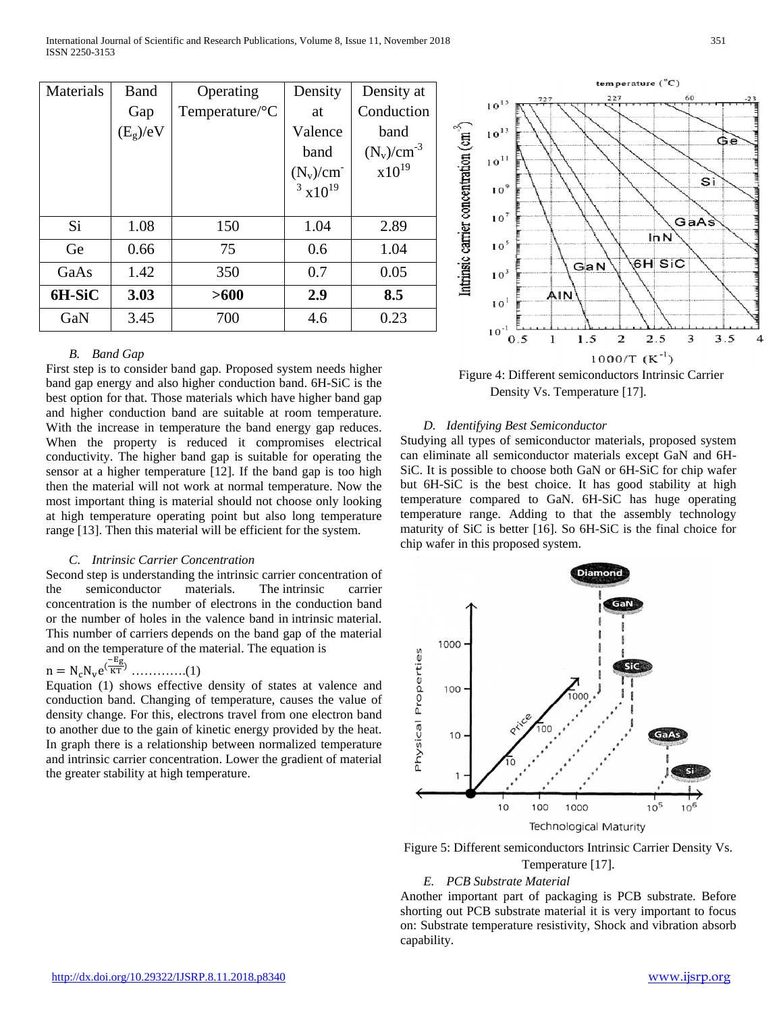| Materials | Band       | Operating                  | Density            | Density at      |
|-----------|------------|----------------------------|--------------------|-----------------|
|           | Gap        | Temperature/ ${}^{\circ}C$ | at                 | Conduction      |
|           | $(E_g)/eV$ |                            | Valence            | band            |
|           |            |                            | band               | $(N_v)/cm^{-3}$ |
|           |            |                            | $(N_v)/cm^-$       | $x10^{19}$      |
|           |            |                            | $3 \times 10^{19}$ |                 |
|           |            |                            |                    |                 |
| Si        | 1.08       | 150                        | 1.04               | 2.89            |
| Ge        | 0.66       | 75                         | 0.6                | 1.04            |
| GaAs      | 1.42       | 350                        | 0.7                | 0.05            |
| 6H-SiC    | 3.03       | >600                       | 2.9                | 8.5             |
| GaN       | 3.45       | 700                        | 4.6                | 0.23            |

### *B. Band Gap*

First step is to consider band gap. Proposed system needs higher band gap energy and also higher conduction band. 6H-SiC is the best option for that. Those materials which have higher band gap and higher conduction band are suitable at room temperature. With the increase in temperature the band energy gap reduces. When the property is reduced it compromises electrical conductivity. The higher band gap is suitable for operating the sensor at a higher temperature [12]. If the band gap is too high then the material will not work at normal temperature. Now the most important thing is material should not choose only looking at high temperature operating point but also long temperature range [13]. Then this material will be efficient for the system.

### *C. Intrinsic Carrier Concentration*

Second step is understanding the intrinsic carrier concentration of the semiconductor materials. The intrinsic carrier concentration is the number of electrons in the conduction band or the number of holes in the valence band in intrinsic material. This number of carriers depends on the band gap of the material and on the temperature of the material. The equation is −Eg

$$
n = N_c N_v e^{(\frac{-\epsilon}{KT})} \dots \dots \dots \dots (1)
$$

Equation (1) shows effective density of states at valence and conduction band. Changing of temperature, causes the value of density change. For this, electrons travel from one electron band to another due to the gain of kinetic energy provided by the heat. In graph there is a relationship between normalized temperature and intrinsic carrier concentration. Lower the gradient of material the greater stability at high temperature.



Figure 4: Different semiconductors Intrinsic Carrier Density Vs. Temperature [17].

### *D. Identifying Best Semiconductor*

Studying all types of semiconductor materials, proposed system can eliminate all semiconductor materials except GaN and 6H-SiC. It is possible to choose both GaN or 6H-SiC for chip wafer but 6H-SiC is the best choice. It has good stability at high temperature compared to GaN. 6H-SiC has huge operating temperature range. Adding to that the assembly technology maturity of SiC is better [16]. So 6H-SiC is the final choice for chip wafer in this proposed system.



Figure 5: Different semiconductors Intrinsic Carrier Density Vs.

# Temperature [17].

## *E. PCB Substrate Material*

Another important part of packaging is PCB substrate. Before shorting out PCB substrate material it is very important to focus on: Substrate temperature resistivity, Shock and vibration absorb capability.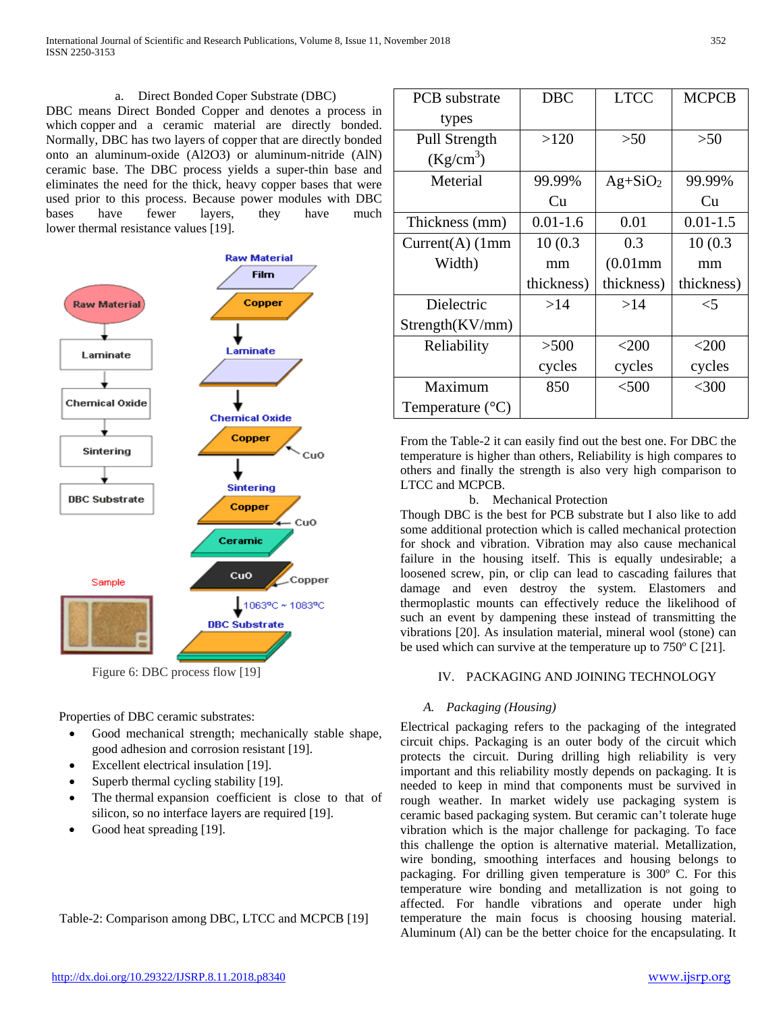## a. Direct Bonded Coper Substrate (DBC)

DBC means Direct Bonded Copper and denotes a process in which [copper](https://metallized-ceramic.ready-online.com/wiki/copper-thermal.html) and a ceramic material are directly bonded. Normally, DBC has two layers of [copper](https://metallized-ceramic.ready-online.com/wiki/copper-thermal.html) that are directly bonded onto an aluminum-oxide (Al2O3) or aluminum-nitride (AlN) ceramic base. The DBC process yields a super-thin base and eliminates the need for the thick, heavy copper bases that were used prior to this process. Because power modules with DBC bases have fewer layers, they have much lower [thermal](https://metallized-ceramic.ready-online.com/wiki/copper-thermal.html) resistance values [19].



Figure 6: DBC process flow [19]

Properties of DBC ceramic substrates:

- Good mechanical strength; mechanically stable shape, good adhesion and corrosion resistant [19].
- Excellent electrical insulation [19].
- Superb [thermal](https://metallized-ceramic.ready-online.com/wiki/copper-thermal.html) cycling stability [19].
- The [thermal](https://metallized-ceramic.ready-online.com/wiki/copper-thermal.html) expansion coefficient is close to that of silicon, so no interface layers are required [19].
- Good heat spreading [19].

|  | Table-2: Comparison among DBC, LTCC and MCPCB [19] |  |  |
|--|----------------------------------------------------|--|--|

| <b>PCB</b> substrate      | <b>DBC</b>   | <b>LTCC</b> | <b>MCPCB</b> |
|---------------------------|--------------|-------------|--------------|
| types                     |              |             |              |
| Pull Strength             | >120         | >50         | >50          |
| $(Kg/cm^3)$               |              |             |              |
| Meterial                  | 99.99%       | $Ag+SiO2$   | 99.99%       |
|                           | Cu           |             | Cu           |
| Thickness (mm)            | $0.01 - 1.6$ | 0.01        | $0.01 - 1.5$ |
| $Current(A)$ (1mm         | 10(0.3)      | 0.3         | 10(0.3)      |
| Width)                    | mm           | $(0.01$ mm  | mm           |
|                           | thickness)   | thickness)  | thickness)   |
| Dielectric                | >14          | >14         | $\leq 5$     |
| Strength(KV/mm)           |              |             |              |
| Reliability               | >500         | $<$ 200     | $<$ 200      |
|                           | cycles       | cycles      | cycles       |
| Maximum                   | 850          | $<$ 500     | $<$ 300      |
| Temperature $(^{\circ}C)$ |              |             |              |

From the Table-2 it can easily find out the best one. For DBC the temperature is higher than others, Reliability is high compares to others and finally the strength is also very high comparison to LTCC and MCPCB.

## b. Mechanical Protection

Though DBC is the best for PCB substrate but I also like to add some additional protection which is called mechanical protection for shock and vibration. Vibration may also cause mechanical failure in the housing itself. This is equally undesirable; a loosened screw, pin, or clip can lead to cascading failures that damage and even destroy the system. Elastomers and thermoplastic mounts can effectively reduce the likelihood of such an event by dampening these instead of transmitting the vibrations [20]. As insulation material, mineral wool (stone) can be used which can survive at the temperature up to 750º C [21].

# IV. PACKAGING AND JOINING TECHNOLOGY

## *A. Packaging (Housing)*

Electrical packaging refers to the packaging of the integrated circuit chips. Packaging is an outer body of the circuit which protects the circuit. During drilling high reliability is very important and this reliability mostly depends on packaging. It is needed to keep in mind that components must be survived in rough weather. In market widely use packaging system is ceramic based packaging system. But ceramic can't tolerate huge vibration which is the major challenge for packaging. To face this challenge the option is alternative material. Metallization, wire bonding, smoothing interfaces and housing belongs to packaging. For drilling given temperature is 300º C. For this temperature wire bonding and metallization is not going to affected. For handle vibrations and operate under high temperature the main focus is choosing housing material. Aluminum (Al) can be the better choice for the encapsulating. It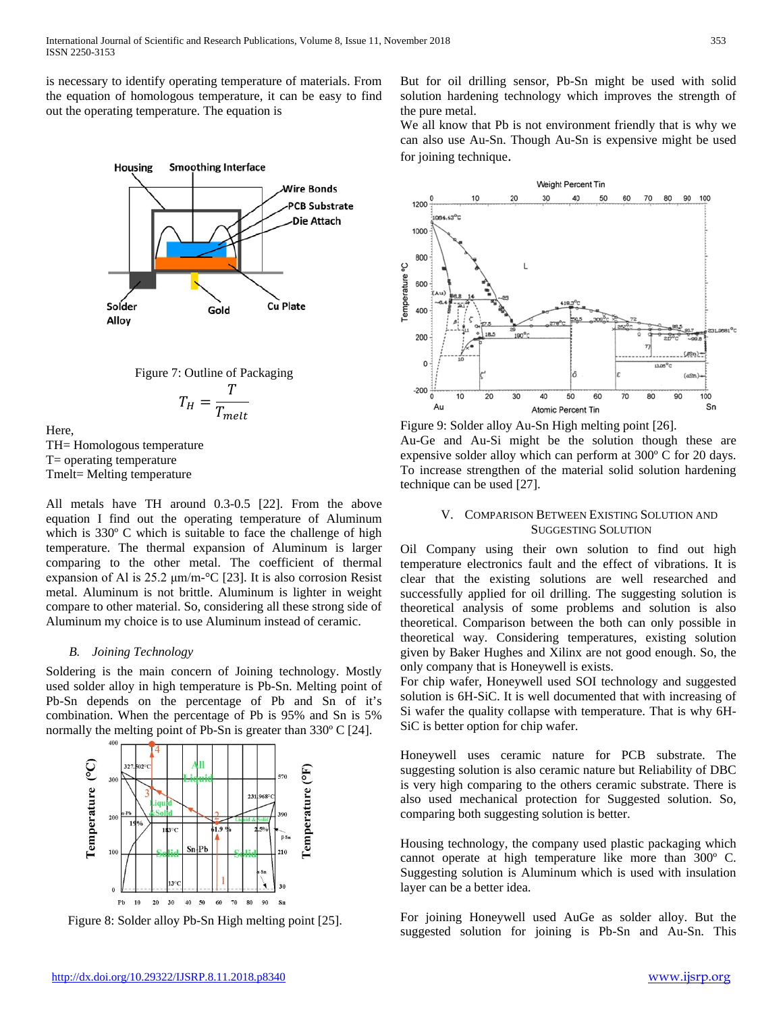is necessary to identify operating temperature of materials. From the equation of homologous temperature, it can be easy to find out the operating temperature. The equation is





$$
T_H = \frac{T}{T_{melt}}
$$

Here, TH= Homologous temperature T= operating temperature Tmelt= Melting temperature

All metals have TH around 0.3-0.5 [22]. From the above equation I find out the operating temperature of Aluminum which is 330° C which is suitable to face the challenge of high temperature. The thermal expansion of Aluminum is larger comparing to the other metal. The coefficient of thermal expansion of Al is 25.2 μm/m-°C [23]. It is also corrosion Resist metal. Aluminum is not brittle. Aluminum is lighter in weight compare to other material. So, considering all these strong side of Aluminum my choice is to use Aluminum instead of ceramic.

## *B. Joining Technology*

Soldering is the main concern of Joining technology. Mostly used solder alloy in high temperature is Pb-Sn. Melting point of Pb-Sn depends on the percentage of Pb and Sn of it's combination. When the percentage of Pb is 95% and Sn is 5% normally the melting point of Pb-Sn is greater than 330º C [24].



But for oil drilling sensor, Pb-Sn might be used with solid solution hardening technology which improves the strength of the pure metal.

We all know that Pb is not environment friendly that is why we can also use Au-Sn. Though Au-Sn is expensive might be used for joining technique.



Figure 9: Solder alloy Au-Sn High melting point [26]. Au-Ge and Au-Si might be the solution though these are expensive solder alloy which can perform at 300º C for 20 days. To increase strengthen of the material solid solution hardening technique can be used [27].

## V. COMPARISON BETWEEN EXISTING SOLUTION AND SUGGESTING SOLUTION

Oil Company using their own solution to find out high temperature electronics fault and the effect of vibrations. It is clear that the existing solutions are well researched and successfully applied for oil drilling. The suggesting solution is theoretical analysis of some problems and solution is also theoretical. Comparison between the both can only possible in theoretical way. Considering temperatures, existing solution given by Baker Hughes and Xilinx are not good enough. So, the only company that is Honeywell is exists.

For chip wafer, Honeywell used SOI technology and suggested solution is 6H-SiC. It is well documented that with increasing of Si wafer the quality collapse with temperature. That is why 6H-SiC is better option for chip wafer.

Honeywell uses ceramic nature for PCB substrate. The suggesting solution is also ceramic nature but Reliability of DBC is very high comparing to the others ceramic substrate. There is also used mechanical protection for Suggested solution. So, comparing both suggesting solution is better.

Housing technology, the company used plastic packaging which cannot operate at high temperature like more than 300º C. Suggesting solution is Aluminum which is used with insulation layer can be a better idea.

For joining Honeywell used AuGe as solder alloy. But the Figure 8: Solder alloy Pb-Sn High melting point [25]. For joining Honeywell used AuGe as solder alloy. But the<br>suggested solution for joining is Pb-Sn and Au-Sn. This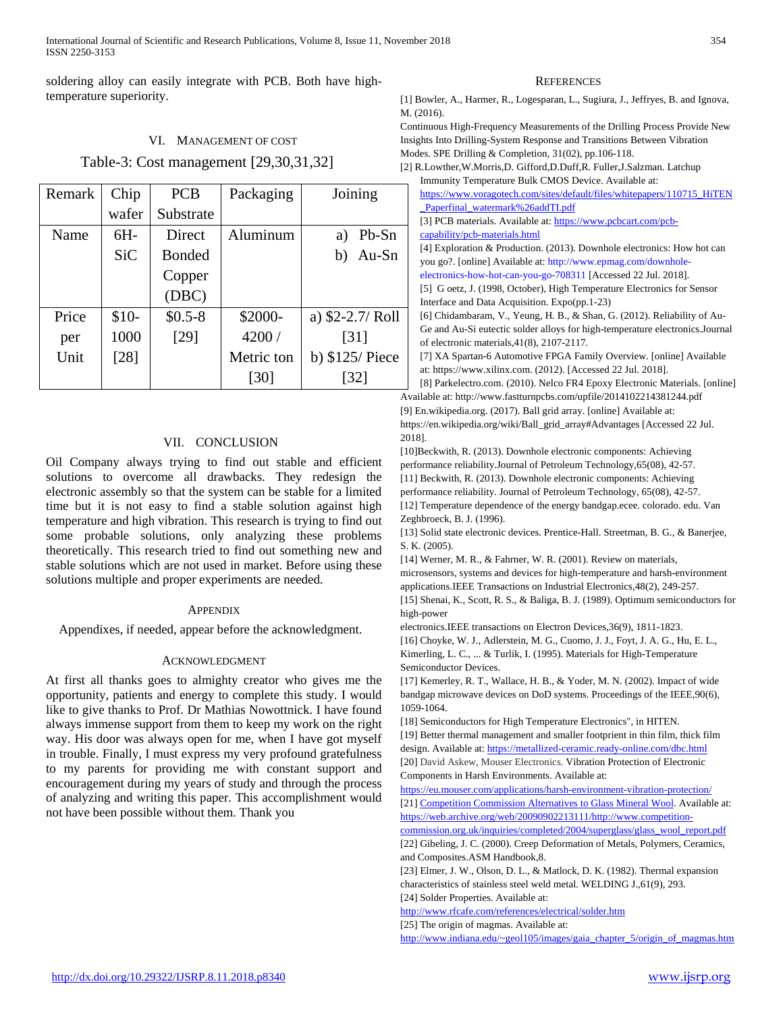soldering alloy can easily integrate with PCB. Both have hightemperature superiority.

## VI. MANAGEMENT OF COST

# Table-3: Cost management [29,30,31,32]

| Remark | Chip       | <b>PCB</b>    | Packaging  | Joining           |
|--------|------------|---------------|------------|-------------------|
|        | wafer      | Substrate     |            |                   |
| Name   | $6H -$     | <b>Direct</b> | Aluminum   | Pb-Sn<br>a)       |
|        | <b>SiC</b> | <b>Bonded</b> |            | $Au-Sn$<br>b)     |
|        |            | Copper        |            |                   |
|        |            | (DBC)         |            |                   |
| Price  | $$10-$     | $$0.5-8$      | \$2000-    | a) $$2-2.7/$ Roll |
| per    | 1000       | [29]          | 4200 /     | [31]              |
| Unit   | $[28]$     |               | Metric ton | b) \$125/ Piece   |
|        |            |               | [30]       | $\left[32\right]$ |

# VII. CONCLUSION

Oil Company always trying to find out stable and efficient solutions to overcome all drawbacks. They redesign the electronic assembly so that the system can be stable for a limited time but it is not easy to find a stable solution against high temperature and high vibration. This research is trying to find out some probable solutions, only analyzing these problems theoretically. This research tried to find out something new and stable solutions which are not used in market. Before using these solutions multiple and proper experiments are needed.

#### **APPENDIX**

Appendixes, if needed, appear before the acknowledgment.

#### ACKNOWLEDGMENT

At first all thanks goes to almighty creator who gives me the opportunity, patients and energy to complete this study. I would like to give thanks to Prof. Dr Mathias Nowottnick. I have found always immense support from them to keep my work on the right way. His door was always open for me, when I have got myself in trouble. Finally, I must express my very profound gratefulness to my parents for providing me with constant support and encouragement during my years of study and through the process of analyzing and writing this paper. This accomplishment would not have been possible without them. Thank you

#### **REFERENCES**

[1] Bowler, A., Harmer, R., Logesparan, L., Sugiura, J., Jeffryes, B. and Ignova, M. (2016).

Continuous High-Frequency Measurements of the Drilling Process Provide New Insights Into Drilling-System Response and Transitions Between Vibration Modes. SPE Drilling & Completion, 31(02), pp.106-118.

| [2] R.Lowther, W.Morris, D. Gifford, D.Duff, R. Fuller, J.Salzman. Latchup                                                                                                                                                                                    |
|---------------------------------------------------------------------------------------------------------------------------------------------------------------------------------------------------------------------------------------------------------------|
| Immunity Temperature Bulk CMOS Device. Available at:                                                                                                                                                                                                          |
| https://www.voragotech.com/sites/default/files/whitepapers/110715_HiTEN                                                                                                                                                                                       |
| Paperfinal_watermark%26addTI.pdf                                                                                                                                                                                                                              |
| [3] PCB materials. Available at: https://www.pcbcart.com/pcb-                                                                                                                                                                                                 |
| capability/pcb-materials.html                                                                                                                                                                                                                                 |
| [4] Exploration & Production. (2013). Downhole electronics: How hot can                                                                                                                                                                                       |
| you go?. [online] Available at: http://www.epmag.com/downhole-                                                                                                                                                                                                |
| electronics-how-hot-can-you-go-708311 [Accessed 22 Jul. 2018].                                                                                                                                                                                                |
| [5] G oetz, J. (1998, October), High Temperature Electronics for Sensor                                                                                                                                                                                       |
| Interface and Data Acquisition. Expo(pp.1-23)                                                                                                                                                                                                                 |
| [6] Chidambaram, V., Yeung, H. B., & Shan, G. (2012). Reliability of Au-                                                                                                                                                                                      |
| Ge and Au-Si eutectic solder alloys for high-temperature electronics. Journal                                                                                                                                                                                 |
| of electronic materials, $41(8)$ , $2107-2117$ .                                                                                                                                                                                                              |
| [7] XA Spartan-6 Automotive FPGA Family Overview. [online] Available                                                                                                                                                                                          |
| at: https://www.xilinx.com. (2012). [Accessed 22 Jul. 2018].                                                                                                                                                                                                  |
| [8] Parkelectro.com. (2010). Nelco FR4 Epoxy Electronic Materials. [online]                                                                                                                                                                                   |
| $11.11 \t11.11 \t11.11 \t12.11 \t13.11 \t14.11 \t15.11 \t16.11 \t17.11 \t18.11 \t19.11 \t19.11 \t19.11 \t11.11 \t11.11 \t11.11 \t11.11 \t11.11 \t11.11 \t11.11 \t11.11 \t11.11 \t11.11 \t11.11 \t11.11 \t11.11 \t11.11 \t11.11 \t11.11 \t11.11 \t11.11 \t11.$ |

Available at: http://www.fastturnpcbs.com/upfile/2014102214381244.pdf [9] En.wikipedia.org. (2017). Ball grid array. [online] Available at: https://en.wikipedia.org/wiki/Ball\_grid\_array#Advantages [Accessed 22 Jul. 2018].

[10]Beckwith, R. (2013). Downhole electronic components: Achieving performance reliability.Journal of Petroleum Technology,65(08), 42-57. [11] Beckwith, R. (2013). Downhole electronic components: Achieving performance reliability. Journal of Petroleum Technology, 65(08), 42-57. [12] Temperature dependence of the energy bandgap.ecee. colorado. edu. Van Zeghbroeck, B. J. (1996).

[13] Solid state electronic devices. Prentice-Hall. Streetman, B. G., & Banerjee, S. K. (2005).

[14] Werner, M. R., & Fahrner, W. R. (2001). Review on materials, microsensors, systems and devices for high-temperature and harsh-environment applications.IEEE Transactions on Industrial Electronics,48(2), 249-257. [15] Shenai, K., Scott, R. S., & Baliga, B. J. (1989). Optimum semiconductors for

high-power electronics.IEEE transactions on Electron Devices,36(9), 1811-1823.

[16] Choyke, W. J., Adlerstein, M. G., Cuomo, J. J., Foyt, J. A. G., Hu, E. L., Kimerling, L. C., ... & Turlik, I. (1995). Materials for High-Temperature Semiconductor Devices.

[17] Kemerley, R. T., Wallace, H. B., & Yoder, M. N. (2002). Impact of wide bandgap microwave devices on DoD systems. Proceedings of the IEEE,90(6), 1059-1064.

[18] Semiconductors for High Temperature Electronics", in HITEN. [19] Better thermal management and smaller footprient in thin film, thick film design. Available at: <https://metallized-ceramic.ready-online.com/dbc.html> [20] David Askew, Mouser Electronics. Vibration Protection of Electronic Components in Harsh Environments. Available at:

<https://eu.mouser.com/applications/harsh-environment-vibration-protection/> [21[\] Competition Commission Alternatives to Glass Mineral Wool.](https://web.archive.org/web/20090902213111/http:/www.competition-commission.org.uk/inquiries/completed/2004/superglass/glass_wool_report.pdf) Available at: [https://web.archive.org/web/20090902213111/http://www.competition-](https://web.archive.org/web/20090902213111/http:/www.competition-commission.org.uk/inquiries/completed/2004/superglass/glass_wool_report.pdf)

[commission.org.uk/inquiries/completed/2004/superglass/glass\\_wool\\_report.pdf](https://web.archive.org/web/20090902213111/http:/www.competition-commission.org.uk/inquiries/completed/2004/superglass/glass_wool_report.pdf) [22] Gibeling, J. C. (2000). Creep Deformation of Metals, Polymers, Ceramics, and Composites.ASM Handbook,8.

[23] Elmer, J. W., Olson, D. L., & Matlock, D. K. (1982). Thermal expansion characteristics of stainless steel weld metal. WELDING J.,61(9), 293. [24] Solder Properties. Available at:

<http://www.rfcafe.com/references/electrical/solder.htm>

[25] The origin of magmas. Available at:

[http://www.indiana.edu/~geol105/images/gaia\\_chapter\\_5/origin\\_of\\_magmas.htm](http://www.indiana.edu/~geol105/images/gaia_chapter_5/origin_of_magmas.htm)